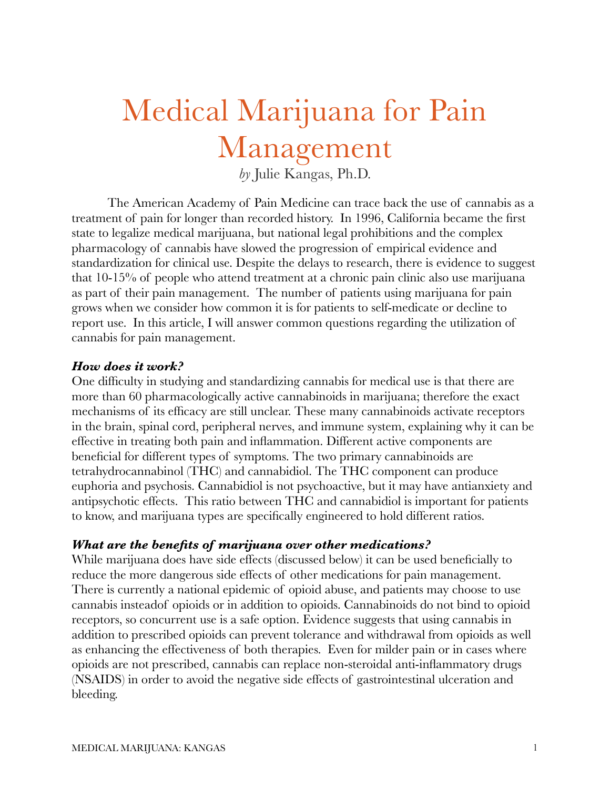# Medical Marijuana for Pain Management

*by* Julie Kangas, Ph.D.

The American Academy of Pain Medicine can trace back the use of cannabis as a treatment of pain for longer than recorded history. In 1996, California became the first state to legalize medical marijuana, but national legal prohibitions and the complex pharmacology of cannabis have slowed the progression of empirical evidence and standardization for clinical use. Despite the delays to research, there is evidence to suggest that 10-15% of people who attend treatment at a chronic pain clinic also use marijuana as part of their pain management. The number of patients using marijuana for pain grows when we consider how common it is for patients to self-medicate or decline to report use. In this article, I will answer common questions regarding the utilization of cannabis for pain management.

#### *How does it work?*

One difficulty in studying and standardizing cannabis for medical use is that there are more than 60 pharmacologically active cannabinoids in marijuana; therefore the exact mechanisms of its efficacy are still unclear. These many cannabinoids activate receptors in the brain, spinal cord, peripheral nerves, and immune system, explaining why it can be effective in treating both pain and inflammation. Different active components are beneficial for different types of symptoms. The two primary cannabinoids are tetrahydrocannabinol (THC) and cannabidiol. The THC component can produce euphoria and psychosis. Cannabidiol is not psychoactive, but it may have antianxiety and antipsychotic effects. This ratio between THC and cannabidiol is important for patients to know, and marijuana types are specifically engineered to hold different ratios.

#### *What are the benefits of marijuana over other medications?*

While marijuana does have side effects (discussed below) it can be used beneficially to reduce the more dangerous side effects of other medications for pain management. There is currently a national epidemic of opioid abuse, and patients may choose to use cannabis insteadof opioids or in addition to opioids. Cannabinoids do not bind to opioid receptors, so concurrent use is a safe option. Evidence suggests that using cannabis in addition to prescribed opioids can prevent tolerance and withdrawal from opioids as well as enhancing the effectiveness of both therapies. Even for milder pain or in cases where opioids are not prescribed, cannabis can replace non-steroidal anti-inflammatory drugs (NSAIDS) in order to avoid the negative side effects of gastrointestinal ulceration and bleeding.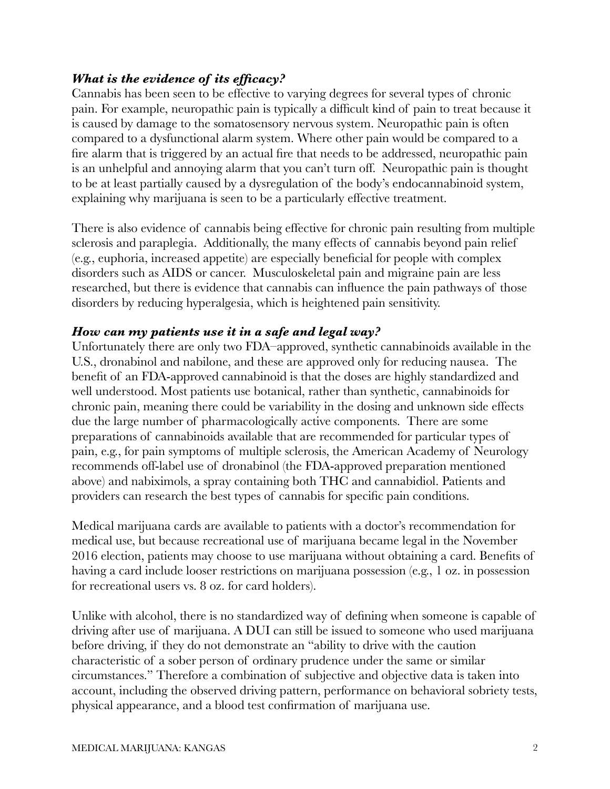# *What is the evidence of its efficacy?*

Cannabis has been seen to be effective to varying degrees for several types of chronic pain. For example, neuropathic pain is typically a difficult kind of pain to treat because it is caused by damage to the somatosensory nervous system. Neuropathic pain is often compared to a dysfunctional alarm system. Where other pain would be compared to a fire alarm that is triggered by an actual fire that needs to be addressed, neuropathic pain is an unhelpful and annoying alarm that you can't turn off. Neuropathic pain is thought to be at least partially caused by a dysregulation of the body's endocannabinoid system, explaining why marijuana is seen to be a particularly effective treatment.

There is also evidence of cannabis being effective for chronic pain resulting from multiple sclerosis and paraplegia. Additionally, the many effects of cannabis beyond pain relief (e.g., euphoria, increased appetite) are especially beneficial for people with complex disorders such as AIDS or cancer. Musculoskeletal pain and migraine pain are less researched, but there is evidence that cannabis can influence the pain pathways of those disorders by reducing hyperalgesia, which is heightened pain sensitivity.

# *How can my patients use it in a safe and legal way?*

Unfortunately there are only two FDA–approved, synthetic cannabinoids available in the U.S., dronabinol and nabilone, and these are approved only for reducing nausea. The benefit of an FDA-approved cannabinoid is that the doses are highly standardized and well understood. Most patients use botanical, rather than synthetic, cannabinoids for chronic pain, meaning there could be variability in the dosing and unknown side effects due the large number of pharmacologically active components. There are some preparations of cannabinoids available that are recommended for particular types of pain, e.g., for pain symptoms of multiple sclerosis, the American Academy of Neurology recommends off-label use of dronabinol (the FDA-approved preparation mentioned above) and nabiximols, a spray containing both THC and cannabidiol. Patients and providers can research the best types of cannabis for specific pain conditions.

Medical marijuana cards are available to patients with a doctor's recommendation for medical use, but because recreational use of marijuana became legal in the November 2016 election, patients may choose to use marijuana without obtaining a card. Benefits of having a card include looser restrictions on marijuana possession (e.g., 1 oz. in possession for recreational users vs. 8 oz. for card holders).

Unlike with alcohol, there is no standardized way of defining when someone is capable of driving after use of marijuana. A DUI can still be issued to someone who used marijuana before driving, if they do not demonstrate an "ability to drive with the caution characteristic of a sober person of ordinary prudence under the same or similar circumstances." Therefore a combination of subjective and objective data is taken into account, including the observed driving pattern, performance on behavioral sobriety tests, physical appearance, and a blood test confirmation of marijuana use.